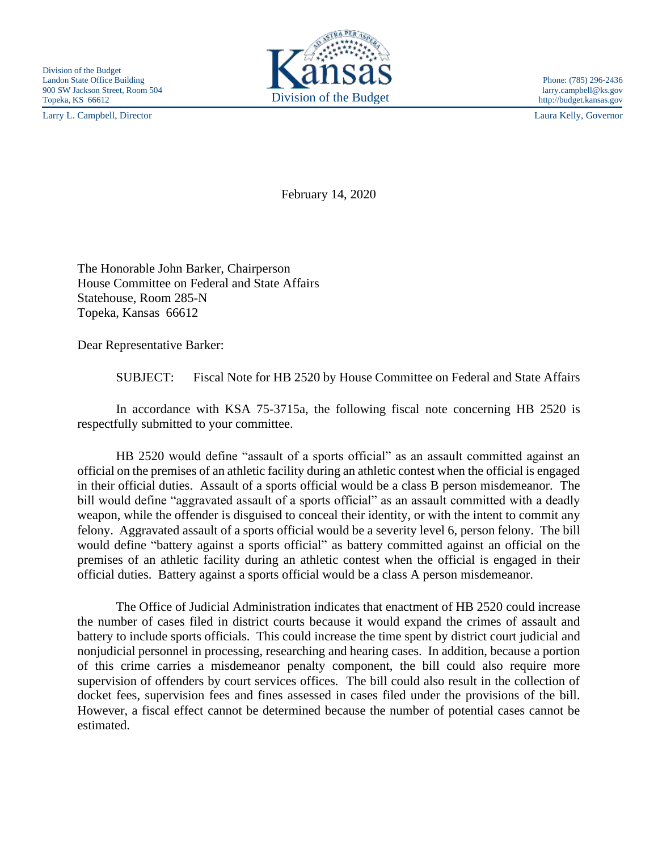Larry L. Campbell, Director Laura Kelly, Governor



http://budget.kansas.gov

February 14, 2020

The Honorable John Barker, Chairperson House Committee on Federal and State Affairs Statehouse, Room 285-N Topeka, Kansas 66612

Dear Representative Barker:

SUBJECT: Fiscal Note for HB 2520 by House Committee on Federal and State Affairs

In accordance with KSA 75-3715a, the following fiscal note concerning HB 2520 is respectfully submitted to your committee.

HB 2520 would define "assault of a sports official" as an assault committed against an official on the premises of an athletic facility during an athletic contest when the official is engaged in their official duties. Assault of a sports official would be a class B person misdemeanor. The bill would define "aggravated assault of a sports official" as an assault committed with a deadly weapon, while the offender is disguised to conceal their identity, or with the intent to commit any felony. Aggravated assault of a sports official would be a severity level 6, person felony. The bill would define "battery against a sports official" as battery committed against an official on the premises of an athletic facility during an athletic contest when the official is engaged in their official duties. Battery against a sports official would be a class A person misdemeanor.

The Office of Judicial Administration indicates that enactment of HB 2520 could increase the number of cases filed in district courts because it would expand the crimes of assault and battery to include sports officials. This could increase the time spent by district court judicial and nonjudicial personnel in processing, researching and hearing cases. In addition, because a portion of this crime carries a misdemeanor penalty component, the bill could also require more supervision of offenders by court services offices. The bill could also result in the collection of docket fees, supervision fees and fines assessed in cases filed under the provisions of the bill. However, a fiscal effect cannot be determined because the number of potential cases cannot be estimated.